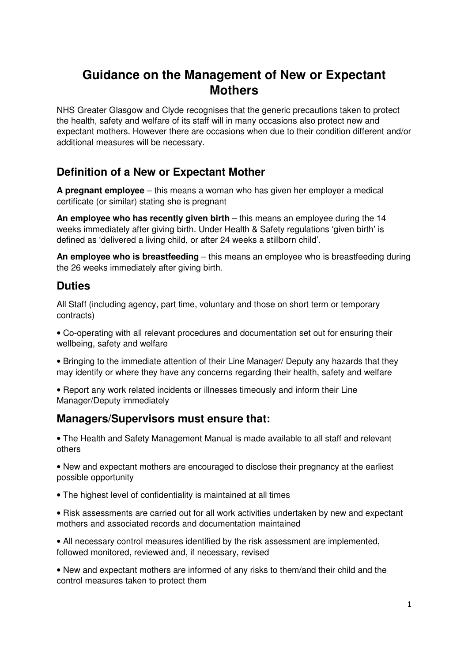# **Guidance on the Management of New or Expectant Mothers**

NHS Greater Glasgow and Clyde recognises that the generic precautions taken to protect the health, safety and welfare of its staff will in many occasions also protect new and expectant mothers. However there are occasions when due to their condition different and/or additional measures will be necessary.

# **Definition of a New or Expectant Mother**

**A pregnant employee** – this means a woman who has given her employer a medical certificate (or similar) stating she is pregnant

**An employee who has recently given birth** – this means an employee during the 14 weeks immediately after giving birth. Under Health & Safety regulations 'given birth' is defined as 'delivered a living child, or after 24 weeks a stillborn child'.

**An employee who is breastfeeding** – this means an employee who is breastfeeding during the 26 weeks immediately after giving birth.

## **Duties**

All Staff (including agency, part time, voluntary and those on short term or temporary contracts)

• Co-operating with all relevant procedures and documentation set out for ensuring their wellbeing, safety and welfare

• Bringing to the immediate attention of their Line Manager/ Deputy any hazards that they may identify or where they have any concerns regarding their health, safety and welfare

• Report any work related incidents or illnesses timeously and inform their Line Manager/Deputy immediately

### **Managers/Supervisors must ensure that:**

• The Health and Safety Management Manual is made available to all staff and relevant others

• New and expectant mothers are encouraged to disclose their pregnancy at the earliest possible opportunity

• The highest level of confidentiality is maintained at all times

• Risk assessments are carried out for all work activities undertaken by new and expectant mothers and associated records and documentation maintained

• All necessary control measures identified by the risk assessment are implemented, followed monitored, reviewed and, if necessary, revised

• New and expectant mothers are informed of any risks to them/and their child and the control measures taken to protect them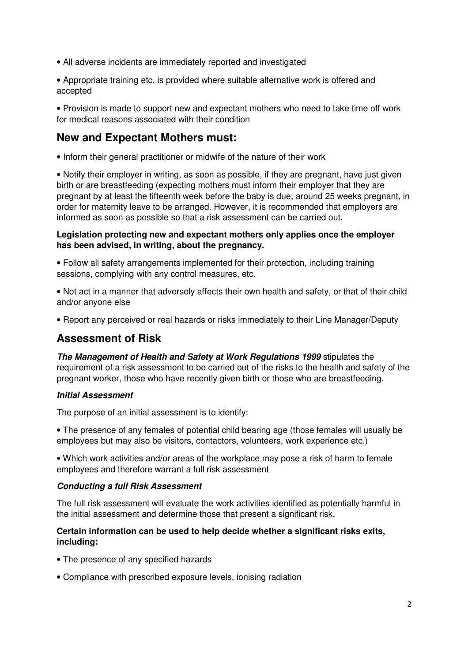- All adverse incidents are immediately reported and investigated
- Appropriate training etc. is provided where suitable alternative work is offered and accepted

• Provision is made to support new and expectant mothers who need to take time off work for medical reasons associated with their condition

## **New and Expectant Mothers must:**

• Inform their general practitioner or midwife of the nature of their work

• Notify their employer in writing, as soon as possible, if they are pregnant, have just given birth or are breastfeeding (expecting mothers must inform their employer that they are pregnant by at least the fifteenth week before the baby is due, around 25 weeks pregnant, in order for maternity leave to be arranged. However, it is recommended that employers are informed as soon as possible so that a risk assessment can be carried out.

#### **Legislation protecting new and expectant mothers only applies once the employer has been advised, in writing, about the pregnancy.**

• Follow all safety arrangements implemented for their protection, including training sessions, complying with any control measures, etc.

• Not act in a manner that adversely affects their own health and safety, or that of their child and/or anyone else

• Report any perceived or real hazards or risks immediately to their Line Manager/Deputy

# **Assessment of Risk**

**The Management of Health and Safety at Work Regulations 1999** stipulates the requirement of a risk assessment to be carried out of the risks to the health and safety of the pregnant worker, those who have recently given birth or those who are breastfeeding.

#### **Initial Assessment**

The purpose of an initial assessment is to identify:

• The presence of any females of potential child bearing age (those females will usually be employees but may also be visitors, contactors, volunteers, work experience etc.)

• Which work activities and/or areas of the workplace may pose a risk of harm to female employees and therefore warrant a full risk assessment

#### **Conducting a full Risk Assessment**

The full risk assessment will evaluate the work activities identified as potentially harmful in the initial assessment and determine those that present a significant risk.

#### **Certain information can be used to help decide whether a significant risks exits, including:**

- The presence of any specified hazards
- Compliance with prescribed exposure levels, ionising radiation